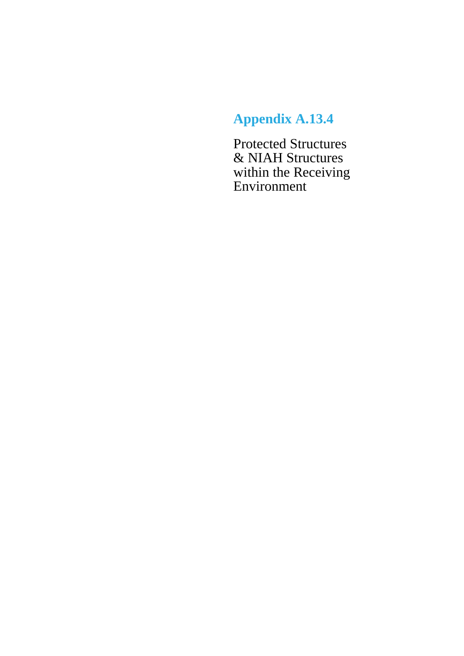## **Appendix A.13.4**

Protected Structures & NIAH Structures within the Receiving Environment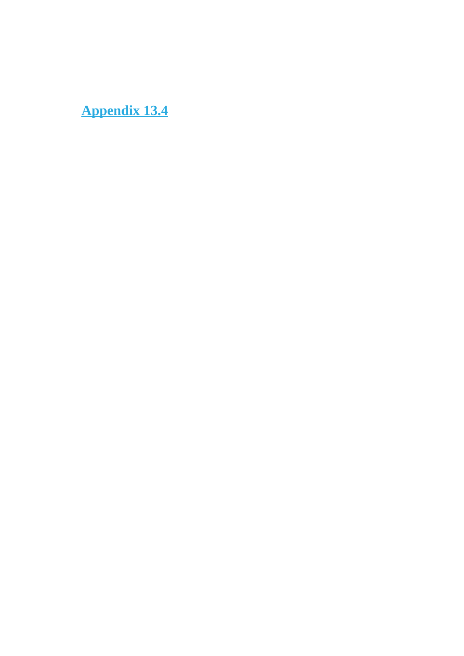**Appendix 13.4**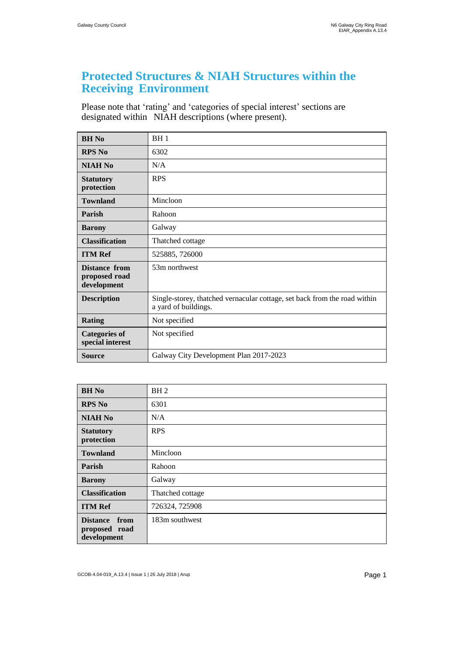## **Protected Structures & NIAH Structures within the Receiving Environment**

Please note that 'rating' and 'categories of special interest' sections are designated within NIAH descriptions (where present).

| <b>BH</b> No                                  | BH1                                                                                               |
|-----------------------------------------------|---------------------------------------------------------------------------------------------------|
| <b>RPS No</b>                                 | 6302                                                                                              |
| <b>NIAH No</b>                                | N/A                                                                                               |
| <b>Statutory</b><br>protection                | <b>RPS</b>                                                                                        |
| <b>Townland</b>                               | Mincloon                                                                                          |
| Parish                                        | Rahoon                                                                                            |
| <b>Barony</b>                                 | Galway                                                                                            |
| <b>Classification</b>                         | Thatched cottage                                                                                  |
| <b>ITM Ref</b>                                | 525885, 726000                                                                                    |
| Distance from<br>proposed road<br>development | 53m northwest                                                                                     |
| <b>Description</b>                            | Single-storey, thatched vernacular cottage, set back from the road within<br>a yard of buildings. |
| <b>Rating</b>                                 | Not specified                                                                                     |
| <b>Categories of</b><br>special interest      | Not specified                                                                                     |
| Source                                        | Galway City Development Plan 2017-2023                                                            |

| <b>BH</b> No                                            | BH <sub>2</sub>  |
|---------------------------------------------------------|------------------|
| <b>RPS No</b>                                           | 6301             |
| <b>NIAH No</b>                                          | N/A              |
| <b>Statutory</b><br>protection                          | <b>RPS</b>       |
| <b>Townland</b>                                         | Mincloon         |
| Parish                                                  | Rahoon           |
| <b>Barony</b>                                           | Galway           |
| <b>Classification</b>                                   | Thatched cottage |
| <b>ITM Ref</b>                                          | 726324, 725908   |
| <b>Distance</b><br>from<br>proposed road<br>development | 183m southwest   |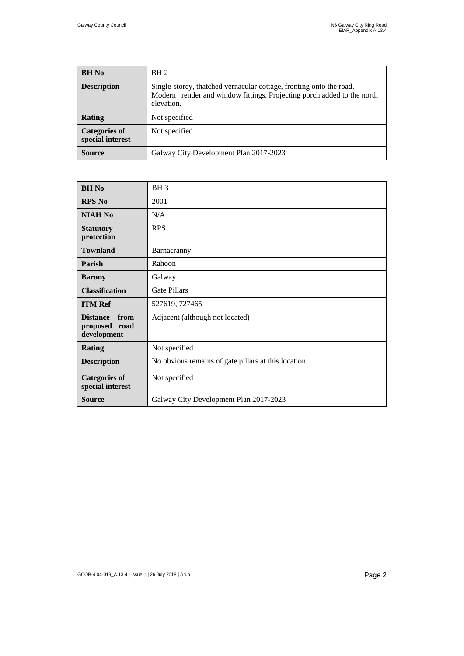| <b>BH</b> No                             | BH <sub>2</sub>                                                                                                                                             |
|------------------------------------------|-------------------------------------------------------------------------------------------------------------------------------------------------------------|
| <b>Description</b>                       | Single-storey, thatched vernacular cottage, fronting onto the road.<br>Modern render and window fittings. Projecting porch added to the north<br>elevation. |
| <b>Rating</b>                            | Not specified                                                                                                                                               |
| <b>Categories of</b><br>special interest | Not specified                                                                                                                                               |
| Source                                   | Galway City Development Plan 2017-2023                                                                                                                      |

| <b>BH</b> No                                            | BH <sub>3</sub>                                      |
|---------------------------------------------------------|------------------------------------------------------|
| <b>RPS No</b>                                           | 2001                                                 |
| <b>NIAH No</b>                                          | N/A                                                  |
| <b>Statutory</b><br>protection                          | <b>RPS</b>                                           |
| <b>Townland</b>                                         | Barnacranny                                          |
| <b>Parish</b>                                           | Rahoon                                               |
| <b>Barony</b>                                           | Galway                                               |
| <b>Classification</b>                                   | Gate Pillars                                         |
| <b>ITM Ref</b>                                          | 527619, 727465                                       |
| from<br><b>Distance</b><br>proposed road<br>development | Adjacent (although not located)                      |
| <b>Rating</b>                                           | Not specified                                        |
| <b>Description</b>                                      | No obvious remains of gate pillars at this location. |
| <b>Categories of</b><br>special interest                | Not specified                                        |
| <b>Source</b>                                           | Galway City Development Plan 2017-2023               |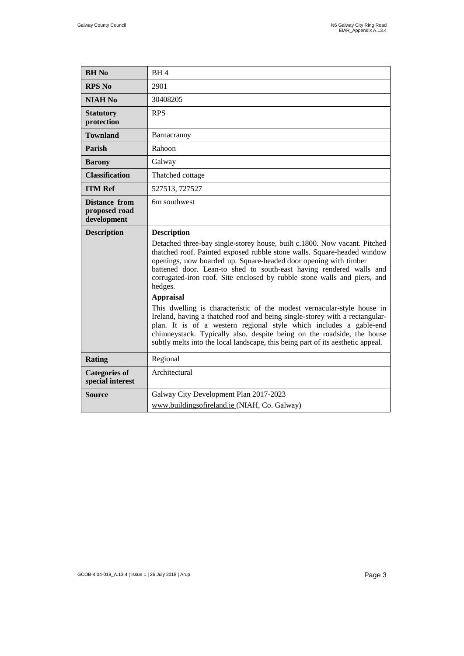| <b>BH</b> No                                         | BH <sub>4</sub>                                                                                                                                                                                                                                                                                                                                                                           |
|------------------------------------------------------|-------------------------------------------------------------------------------------------------------------------------------------------------------------------------------------------------------------------------------------------------------------------------------------------------------------------------------------------------------------------------------------------|
| <b>RPS No</b>                                        | 2901                                                                                                                                                                                                                                                                                                                                                                                      |
| <b>NIAH No</b>                                       | 30408205                                                                                                                                                                                                                                                                                                                                                                                  |
| <b>Statutory</b><br>protection                       | <b>RPS</b>                                                                                                                                                                                                                                                                                                                                                                                |
| <b>Townland</b>                                      | Barnacranny                                                                                                                                                                                                                                                                                                                                                                               |
| Parish                                               | Rahoon                                                                                                                                                                                                                                                                                                                                                                                    |
| <b>Barony</b>                                        | Galway                                                                                                                                                                                                                                                                                                                                                                                    |
| <b>Classification</b>                                | Thatched cottage                                                                                                                                                                                                                                                                                                                                                                          |
| <b>ITM Ref</b>                                       | 527513, 727527                                                                                                                                                                                                                                                                                                                                                                            |
| <b>Distance from</b><br>proposed road<br>development | 6m southwest                                                                                                                                                                                                                                                                                                                                                                              |
| <b>Description</b>                                   | <b>Description</b>                                                                                                                                                                                                                                                                                                                                                                        |
|                                                      | Detached three-bay single-storey house, built c.1800. Now vacant. Pitched<br>thatched roof. Painted exposed rubble stone walls. Square-headed window<br>openings, now boarded up. Square-headed door opening with timber<br>battened door. Lean-to shed to south-east having rendered walls and<br>corrugated-iron roof. Site enclosed by rubble stone walls and piers, and<br>hedges.    |
|                                                      | <b>Appraisal</b>                                                                                                                                                                                                                                                                                                                                                                          |
|                                                      | This dwelling is characteristic of the modest vernacular-style house in<br>Ireland, having a thatched roof and being single-storey with a rectangular-<br>plan. It is of a western regional style which includes a gable-end<br>chimneystack. Typically also, despite being on the roadside, the house<br>subtly melts into the local landscape, this being part of its aesthetic appeal. |
| <b>Rating</b>                                        | Regional                                                                                                                                                                                                                                                                                                                                                                                  |
| <b>Categories of</b>                                 |                                                                                                                                                                                                                                                                                                                                                                                           |
| special interest                                     | Architectural                                                                                                                                                                                                                                                                                                                                                                             |
| <b>Source</b>                                        | Galway City Development Plan 2017-2023                                                                                                                                                                                                                                                                                                                                                    |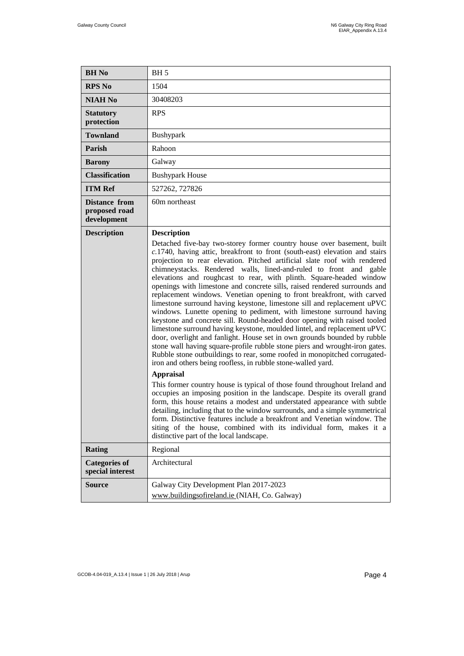| <b>BH</b> No                                         | BH <sub>5</sub>                                                                                                                                                                                                                                                                                                                                                                                                                                                                                                                                                                                                                                                                                                                                                                                                                                                                                                                                                                                                                                                                                                                                                                                                                                                                                                                                                                                                                                                                                                                                                                                                                                                            |
|------------------------------------------------------|----------------------------------------------------------------------------------------------------------------------------------------------------------------------------------------------------------------------------------------------------------------------------------------------------------------------------------------------------------------------------------------------------------------------------------------------------------------------------------------------------------------------------------------------------------------------------------------------------------------------------------------------------------------------------------------------------------------------------------------------------------------------------------------------------------------------------------------------------------------------------------------------------------------------------------------------------------------------------------------------------------------------------------------------------------------------------------------------------------------------------------------------------------------------------------------------------------------------------------------------------------------------------------------------------------------------------------------------------------------------------------------------------------------------------------------------------------------------------------------------------------------------------------------------------------------------------------------------------------------------------------------------------------------------------|
| <b>RPS No</b>                                        | 1504                                                                                                                                                                                                                                                                                                                                                                                                                                                                                                                                                                                                                                                                                                                                                                                                                                                                                                                                                                                                                                                                                                                                                                                                                                                                                                                                                                                                                                                                                                                                                                                                                                                                       |
| <b>NIAH No</b>                                       | 30408203                                                                                                                                                                                                                                                                                                                                                                                                                                                                                                                                                                                                                                                                                                                                                                                                                                                                                                                                                                                                                                                                                                                                                                                                                                                                                                                                                                                                                                                                                                                                                                                                                                                                   |
| <b>Statutory</b><br>protection                       | <b>RPS</b>                                                                                                                                                                                                                                                                                                                                                                                                                                                                                                                                                                                                                                                                                                                                                                                                                                                                                                                                                                                                                                                                                                                                                                                                                                                                                                                                                                                                                                                                                                                                                                                                                                                                 |
| <b>Townland</b>                                      | Bushypark                                                                                                                                                                                                                                                                                                                                                                                                                                                                                                                                                                                                                                                                                                                                                                                                                                                                                                                                                                                                                                                                                                                                                                                                                                                                                                                                                                                                                                                                                                                                                                                                                                                                  |
| Parish                                               | Rahoon                                                                                                                                                                                                                                                                                                                                                                                                                                                                                                                                                                                                                                                                                                                                                                                                                                                                                                                                                                                                                                                                                                                                                                                                                                                                                                                                                                                                                                                                                                                                                                                                                                                                     |
| <b>Barony</b>                                        | Galway                                                                                                                                                                                                                                                                                                                                                                                                                                                                                                                                                                                                                                                                                                                                                                                                                                                                                                                                                                                                                                                                                                                                                                                                                                                                                                                                                                                                                                                                                                                                                                                                                                                                     |
| <b>Classification</b>                                | <b>Bushypark House</b>                                                                                                                                                                                                                                                                                                                                                                                                                                                                                                                                                                                                                                                                                                                                                                                                                                                                                                                                                                                                                                                                                                                                                                                                                                                                                                                                                                                                                                                                                                                                                                                                                                                     |
| <b>ITM Ref</b>                                       | 527262, 727826                                                                                                                                                                                                                                                                                                                                                                                                                                                                                                                                                                                                                                                                                                                                                                                                                                                                                                                                                                                                                                                                                                                                                                                                                                                                                                                                                                                                                                                                                                                                                                                                                                                             |
| <b>Distance from</b><br>proposed road<br>development | 60m northeast                                                                                                                                                                                                                                                                                                                                                                                                                                                                                                                                                                                                                                                                                                                                                                                                                                                                                                                                                                                                                                                                                                                                                                                                                                                                                                                                                                                                                                                                                                                                                                                                                                                              |
| <b>Description</b>                                   | <b>Description</b><br>Detached five-bay two-storey former country house over basement, built<br>c.1740, having attic, breakfront to front (south-east) elevation and stairs<br>projection to rear elevation. Pitched artificial slate roof with rendered<br>chimneystacks. Rendered walls, lined-and-ruled to front and gable<br>elevations and roughcast to rear, with plinth. Square-headed window<br>openings with limestone and concrete sills, raised rendered surrounds and<br>replacement windows. Venetian opening to front breakfront, with carved<br>limestone surround having keystone, limestone sill and replacement uPVC<br>windows. Lunette opening to pediment, with limestone surround having<br>keystone and concrete sill. Round-headed door opening with raised tooled<br>limestone surround having keystone, moulded lintel, and replacement uPVC<br>door, overlight and fanlight. House set in own grounds bounded by rubble<br>stone wall having square-profile rubble stone piers and wrought-iron gates.<br>Rubble stone outbuildings to rear, some roofed in monopitched corrugated-<br>iron and others being roofless, in rubble stone-walled yard.<br><b>Appraisal</b><br>This former country house is typical of those found throughout Ireland and<br>occupies an imposing position in the landscape. Despite its overall grand<br>form, this house retains a modest and understated appearance with subtle<br>detailing, including that to the window surrounds, and a simple symmetrical<br>form. Distinctive features include a breakfront and Venetian window. The<br>siting of the house, combined with its individual form, makes it a |
| Rating                                               | distinctive part of the local landscape.<br>Regional                                                                                                                                                                                                                                                                                                                                                                                                                                                                                                                                                                                                                                                                                                                                                                                                                                                                                                                                                                                                                                                                                                                                                                                                                                                                                                                                                                                                                                                                                                                                                                                                                       |
| <b>Categories of</b><br>special interest             | Architectural                                                                                                                                                                                                                                                                                                                                                                                                                                                                                                                                                                                                                                                                                                                                                                                                                                                                                                                                                                                                                                                                                                                                                                                                                                                                                                                                                                                                                                                                                                                                                                                                                                                              |
| <b>Source</b>                                        | Galway City Development Plan 2017-2023<br>www.buildingsofireland.ie (NIAH, Co. Galway)                                                                                                                                                                                                                                                                                                                                                                                                                                                                                                                                                                                                                                                                                                                                                                                                                                                                                                                                                                                                                                                                                                                                                                                                                                                                                                                                                                                                                                                                                                                                                                                     |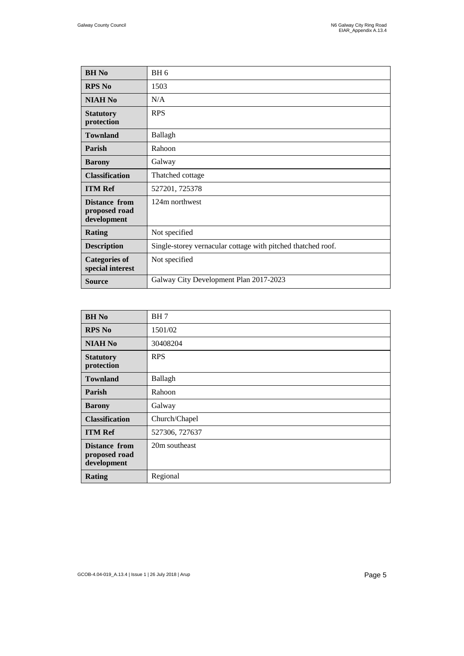| <b>BH</b> No                                  | BH <sub>6</sub>                                              |
|-----------------------------------------------|--------------------------------------------------------------|
| <b>RPS No</b>                                 | 1503                                                         |
| <b>NIAH No</b>                                | N/A                                                          |
| <b>Statutory</b><br>protection                | <b>RPS</b>                                                   |
| <b>Townland</b>                               | Ballagh                                                      |
| Parish                                        | Rahoon                                                       |
| <b>Barony</b>                                 | Galway                                                       |
| <b>Classification</b>                         | Thatched cottage                                             |
| <b>ITM Ref</b>                                | 527201, 725378                                               |
| Distance from<br>proposed road<br>development | 124m northwest                                               |
| <b>Rating</b>                                 | Not specified                                                |
| <b>Description</b>                            | Single-storey vernacular cottage with pitched thatched roof. |
| <b>Categories of</b><br>special interest      | Not specified                                                |
| <b>Source</b>                                 | Galway City Development Plan 2017-2023                       |

| <b>BH</b> No                                         | BH7            |
|------------------------------------------------------|----------------|
| <b>RPS No</b>                                        | 1501/02        |
| <b>NIAH No</b>                                       | 30408204       |
| <b>Statutory</b><br>protection                       | <b>RPS</b>     |
| <b>Townland</b>                                      | Ballagh        |
| Parish                                               | Rahoon         |
| <b>Barony</b>                                        | Galway         |
| <b>Classification</b>                                | Church/Chapel  |
| <b>ITM Ref</b>                                       | 527306, 727637 |
| <b>Distance from</b><br>proposed road<br>development | 20m southeast  |
| <b>Rating</b>                                        | Regional       |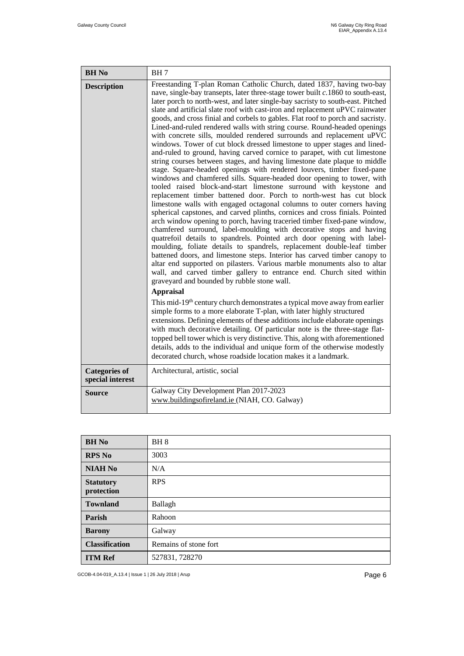| <b>BH</b> No                             | BH7                                                                                                                                                                                                                                                                                                                                                                                                                                                                                                                                                                                                                                                                                                                                                                                                                                                                                                                                                                                                                                                                                                                                                                                                                                                                                                                                                                                                                                                                                                                                                                                                                                                                                                                                                                                                                                                                                                                                                                                                                                                                                                                                                                                                                                                                                                                                                                                                                                               |
|------------------------------------------|---------------------------------------------------------------------------------------------------------------------------------------------------------------------------------------------------------------------------------------------------------------------------------------------------------------------------------------------------------------------------------------------------------------------------------------------------------------------------------------------------------------------------------------------------------------------------------------------------------------------------------------------------------------------------------------------------------------------------------------------------------------------------------------------------------------------------------------------------------------------------------------------------------------------------------------------------------------------------------------------------------------------------------------------------------------------------------------------------------------------------------------------------------------------------------------------------------------------------------------------------------------------------------------------------------------------------------------------------------------------------------------------------------------------------------------------------------------------------------------------------------------------------------------------------------------------------------------------------------------------------------------------------------------------------------------------------------------------------------------------------------------------------------------------------------------------------------------------------------------------------------------------------------------------------------------------------------------------------------------------------------------------------------------------------------------------------------------------------------------------------------------------------------------------------------------------------------------------------------------------------------------------------------------------------------------------------------------------------------------------------------------------------------------------------------------------------|
| <b>Description</b>                       | Freestanding T-plan Roman Catholic Church, dated 1837, having two-bay<br>nave, single-bay transepts, later three-stage tower built $c.1860$ to south-east,<br>later porch to north-west, and later single-bay sacristy to south-east. Pitched<br>slate and artificial slate roof with cast-iron and replacement uPVC rainwater<br>goods, and cross finial and corbels to gables. Flat roof to porch and sacristy.<br>Lined-and-ruled rendered walls with string course. Round-headed openings<br>with concrete sills, moulded rendered surrounds and replacement uPVC<br>windows. Tower of cut block dressed limestone to upper stages and lined-<br>and-ruled to ground, having carved cornice to parapet, with cut limestone<br>string courses between stages, and having limestone date plaque to middle<br>stage. Square-headed openings with rendered louvers, timber fixed-pane<br>windows and chamfered sills. Square-headed door opening to tower, with<br>tooled raised block-and-start limestone surround with keystone and<br>replacement timber battened door. Porch to north-west has cut block<br>limestone walls with engaged octagonal columns to outer corners having<br>spherical capstones, and carved plinths, cornices and cross finials. Pointed<br>arch window opening to porch, having traceried timber fixed-pane window,<br>chamfered surround, label-moulding with decorative stops and having<br>quatrefoil details to spandrels. Pointed arch door opening with label-<br>moulding, foliate details to spandrels, replacement double-leaf timber<br>battened doors, and limestone steps. Interior has carved timber canopy to<br>altar end supported on pilasters. Various marble monuments also to altar<br>wall, and carved timber gallery to entrance end. Church sited within<br>graveyard and bounded by rubble stone wall.<br><b>Appraisal</b><br>This mid-19 <sup>th</sup> century church demonstrates a typical move away from earlier<br>simple forms to a more elaborate T-plan, with later highly structured<br>extensions. Defining elements of these additions include elaborate openings<br>with much decorative detailing. Of particular note is the three-stage flat-<br>topped bell tower which is very distinctive. This, along with aforementioned<br>details, adds to the individual and unique form of the otherwise modestly<br>decorated church, whose roadside location makes it a landmark. |
| <b>Categories of</b><br>special interest | Architectural, artistic, social                                                                                                                                                                                                                                                                                                                                                                                                                                                                                                                                                                                                                                                                                                                                                                                                                                                                                                                                                                                                                                                                                                                                                                                                                                                                                                                                                                                                                                                                                                                                                                                                                                                                                                                                                                                                                                                                                                                                                                                                                                                                                                                                                                                                                                                                                                                                                                                                                   |
| <b>Source</b>                            | Galway City Development Plan 2017-2023<br>www.buildingsofireland.ie (NIAH, CO. Galway)                                                                                                                                                                                                                                                                                                                                                                                                                                                                                                                                                                                                                                                                                                                                                                                                                                                                                                                                                                                                                                                                                                                                                                                                                                                                                                                                                                                                                                                                                                                                                                                                                                                                                                                                                                                                                                                                                                                                                                                                                                                                                                                                                                                                                                                                                                                                                            |

| <b>BH</b> No                   | BH <sub>8</sub>       |
|--------------------------------|-----------------------|
| <b>RPS No</b>                  | 3003                  |
| <b>NIAH No</b>                 | N/A                   |
| <b>Statutory</b><br>protection | <b>RPS</b>            |
| <b>Townland</b>                | Ballagh               |
| Parish                         | Rahoon                |
| <b>Barony</b>                  | Galway                |
| <b>Classification</b>          | Remains of stone fort |
| <b>ITM Ref</b>                 | 527831, 728270        |

GCOB-4.04-019\_A.13.4 | Issue 1 | 26 July 2018 | Arup Page 6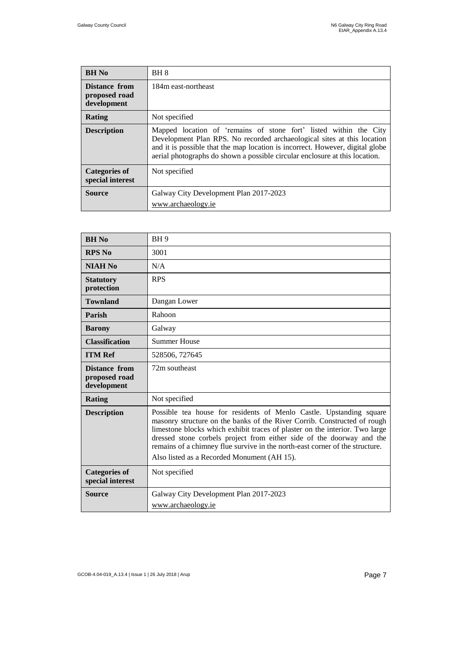| <b>BH</b> No                                  | BH 8                                                                                                                                                                                                                                                                                                         |
|-----------------------------------------------|--------------------------------------------------------------------------------------------------------------------------------------------------------------------------------------------------------------------------------------------------------------------------------------------------------------|
| Distance from<br>proposed road<br>development | 184m east-northeast                                                                                                                                                                                                                                                                                          |
| Rating                                        | Not specified                                                                                                                                                                                                                                                                                                |
| <b>Description</b>                            | Mapped location of 'remains of stone fort' listed within the City<br>Development Plan RPS. No recorded archaeological sites at this location<br>and it is possible that the map location is incorrect. However, digital globe<br>aerial photographs do shown a possible circular enclosure at this location. |
| <b>Categories of</b><br>special interest      | Not specified                                                                                                                                                                                                                                                                                                |
| <b>Source</b>                                 | Galway City Development Plan 2017-2023<br>www.archaeology.ie                                                                                                                                                                                                                                                 |

| <b>BH</b> No                                  | BH <sub>9</sub>                                                                                                                                                                                                                                                                                                                                                                                                                        |
|-----------------------------------------------|----------------------------------------------------------------------------------------------------------------------------------------------------------------------------------------------------------------------------------------------------------------------------------------------------------------------------------------------------------------------------------------------------------------------------------------|
| <b>RPS No</b>                                 | 3001                                                                                                                                                                                                                                                                                                                                                                                                                                   |
| <b>NIAH No</b>                                | N/A                                                                                                                                                                                                                                                                                                                                                                                                                                    |
| <b>Statutory</b><br>protection                | <b>RPS</b>                                                                                                                                                                                                                                                                                                                                                                                                                             |
| <b>Townland</b>                               | Dangan Lower                                                                                                                                                                                                                                                                                                                                                                                                                           |
| Parish                                        | Rahoon                                                                                                                                                                                                                                                                                                                                                                                                                                 |
| <b>Barony</b>                                 | Galway                                                                                                                                                                                                                                                                                                                                                                                                                                 |
| <b>Classification</b>                         | <b>Summer House</b>                                                                                                                                                                                                                                                                                                                                                                                                                    |
| <b>ITM Ref</b>                                | 528506, 727645                                                                                                                                                                                                                                                                                                                                                                                                                         |
| Distance from<br>proposed road<br>development | 72m southeast                                                                                                                                                                                                                                                                                                                                                                                                                          |
| Rating                                        | Not specified                                                                                                                                                                                                                                                                                                                                                                                                                          |
| <b>Description</b>                            | Possible tea house for residents of Menlo Castle. Upstanding square<br>masonry structure on the banks of the River Corrib. Constructed of rough<br>limestone blocks which exhibit traces of plaster on the interior. Two large<br>dressed stone corbels project from either side of the doorway and the<br>remains of a chimney flue survive in the north-east corner of the structure.<br>Also listed as a Recorded Monument (AH 15). |
| <b>Categories of</b><br>special interest      | Not specified                                                                                                                                                                                                                                                                                                                                                                                                                          |
| Source                                        | Galway City Development Plan 2017-2023<br>www.archaeology.ie                                                                                                                                                                                                                                                                                                                                                                           |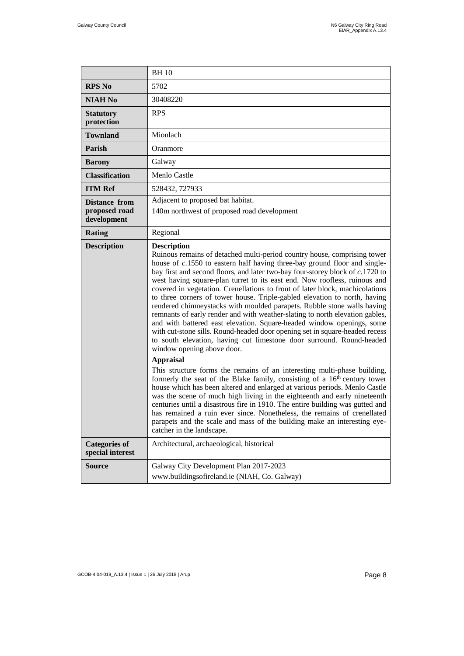|                                                      | <b>BH10</b>                                                                                                                                                                                                                                                                                                                                                                                                                                                                                                                                                                                                                                                                                                                                                                                                                                                                                                                                                                                                                                                                                                                                                                                                                                                                                                                                                                                                                                                                                                                                               |
|------------------------------------------------------|-----------------------------------------------------------------------------------------------------------------------------------------------------------------------------------------------------------------------------------------------------------------------------------------------------------------------------------------------------------------------------------------------------------------------------------------------------------------------------------------------------------------------------------------------------------------------------------------------------------------------------------------------------------------------------------------------------------------------------------------------------------------------------------------------------------------------------------------------------------------------------------------------------------------------------------------------------------------------------------------------------------------------------------------------------------------------------------------------------------------------------------------------------------------------------------------------------------------------------------------------------------------------------------------------------------------------------------------------------------------------------------------------------------------------------------------------------------------------------------------------------------------------------------------------------------|
| <b>RPS No</b>                                        | 5702                                                                                                                                                                                                                                                                                                                                                                                                                                                                                                                                                                                                                                                                                                                                                                                                                                                                                                                                                                                                                                                                                                                                                                                                                                                                                                                                                                                                                                                                                                                                                      |
| <b>NIAH No</b>                                       | 30408220                                                                                                                                                                                                                                                                                                                                                                                                                                                                                                                                                                                                                                                                                                                                                                                                                                                                                                                                                                                                                                                                                                                                                                                                                                                                                                                                                                                                                                                                                                                                                  |
| <b>Statutory</b><br>protection                       | <b>RPS</b>                                                                                                                                                                                                                                                                                                                                                                                                                                                                                                                                                                                                                                                                                                                                                                                                                                                                                                                                                                                                                                                                                                                                                                                                                                                                                                                                                                                                                                                                                                                                                |
| <b>Townland</b>                                      | Mionlach                                                                                                                                                                                                                                                                                                                                                                                                                                                                                                                                                                                                                                                                                                                                                                                                                                                                                                                                                                                                                                                                                                                                                                                                                                                                                                                                                                                                                                                                                                                                                  |
| Parish                                               | Oranmore                                                                                                                                                                                                                                                                                                                                                                                                                                                                                                                                                                                                                                                                                                                                                                                                                                                                                                                                                                                                                                                                                                                                                                                                                                                                                                                                                                                                                                                                                                                                                  |
| <b>Barony</b>                                        | Galway                                                                                                                                                                                                                                                                                                                                                                                                                                                                                                                                                                                                                                                                                                                                                                                                                                                                                                                                                                                                                                                                                                                                                                                                                                                                                                                                                                                                                                                                                                                                                    |
| <b>Classification</b>                                | Menlo Castle                                                                                                                                                                                                                                                                                                                                                                                                                                                                                                                                                                                                                                                                                                                                                                                                                                                                                                                                                                                                                                                                                                                                                                                                                                                                                                                                                                                                                                                                                                                                              |
| <b>ITM Ref</b>                                       | 528432, 727933                                                                                                                                                                                                                                                                                                                                                                                                                                                                                                                                                                                                                                                                                                                                                                                                                                                                                                                                                                                                                                                                                                                                                                                                                                                                                                                                                                                                                                                                                                                                            |
| <b>Distance from</b><br>proposed road<br>development | Adjacent to proposed bat habitat.<br>140m northwest of proposed road development                                                                                                                                                                                                                                                                                                                                                                                                                                                                                                                                                                                                                                                                                                                                                                                                                                                                                                                                                                                                                                                                                                                                                                                                                                                                                                                                                                                                                                                                          |
| <b>Rating</b>                                        | Regional                                                                                                                                                                                                                                                                                                                                                                                                                                                                                                                                                                                                                                                                                                                                                                                                                                                                                                                                                                                                                                                                                                                                                                                                                                                                                                                                                                                                                                                                                                                                                  |
| <b>Description</b>                                   | <b>Description</b><br>Ruinous remains of detached multi-period country house, comprising tower<br>house of $c.1550$ to eastern half having three-bay ground floor and single-<br>bay first and second floors, and later two-bay four-storey block of c.1720 to<br>west having square-plan turret to its east end. Now roofless, ruinous and<br>covered in vegetation. Crenellations to front of later block, machicolations<br>to three corners of tower house. Triple-gabled elevation to north, having<br>rendered chimneystacks with moulded parapets. Rubble stone walls having<br>remnants of early render and with weather-slating to north elevation gables,<br>and with battered east elevation. Square-headed window openings, some<br>with cut-stone sills. Round-headed door opening set in square-headed recess<br>to south elevation, having cut limestone door surround. Round-headed<br>window opening above door.<br><b>Appraisal</b><br>This structure forms the remains of an interesting multi-phase building,<br>formerly the seat of the Blake family, consisting of a 16 <sup>th</sup> century tower<br>house which has been altered and enlarged at various periods. Menlo Castle<br>was the scene of much high living in the eighteenth and early nineteenth<br>centuries until a disastrous fire in 1910. The entire building was gutted and<br>has remained a ruin ever since. Nonetheless, the remains of crenellated<br>parapets and the scale and mass of the building make an interesting eye-<br>catcher in the landscape. |
| <b>Categories of</b><br>special interest             | Architectural, archaeological, historical                                                                                                                                                                                                                                                                                                                                                                                                                                                                                                                                                                                                                                                                                                                                                                                                                                                                                                                                                                                                                                                                                                                                                                                                                                                                                                                                                                                                                                                                                                                 |
| <b>Source</b>                                        | Galway City Development Plan 2017-2023<br>www.buildingsofireland.ie (NIAH, Co. Galway)                                                                                                                                                                                                                                                                                                                                                                                                                                                                                                                                                                                                                                                                                                                                                                                                                                                                                                                                                                                                                                                                                                                                                                                                                                                                                                                                                                                                                                                                    |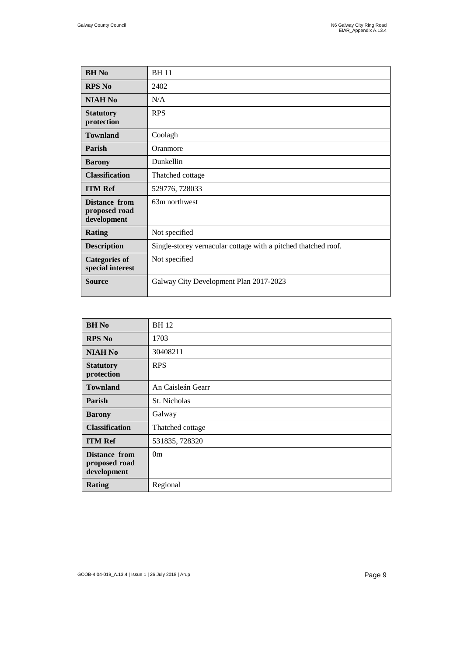| <b>BH</b> No                                         | <b>BH11</b>                                                    |
|------------------------------------------------------|----------------------------------------------------------------|
| <b>RPS No</b>                                        | 2402                                                           |
| <b>NIAH No</b>                                       | N/A                                                            |
| <b>Statutory</b><br>protection                       | <b>RPS</b>                                                     |
| <b>Townland</b>                                      | Coolagh                                                        |
| Parish                                               | Oranmore                                                       |
| <b>Barony</b>                                        | Dunkellin                                                      |
| <b>Classification</b>                                | Thatched cottage                                               |
| <b>ITM Ref</b>                                       | 529776, 728033                                                 |
| <b>Distance from</b><br>proposed road<br>development | 63m northwest                                                  |
| <b>Rating</b>                                        | Not specified                                                  |
| <b>Description</b>                                   | Single-storey vernacular cottage with a pitched thatched roof. |
| <b>Categories of</b><br>special interest             | Not specified                                                  |
| <b>Source</b>                                        | Galway City Development Plan 2017-2023                         |

| <b>BH</b> No                                         | <b>BH12</b>       |
|------------------------------------------------------|-------------------|
| <b>RPS No</b>                                        | 1703              |
| <b>NIAH No</b>                                       | 30408211          |
| <b>Statutory</b><br>protection                       | <b>RPS</b>        |
| <b>Townland</b>                                      | An Caisleán Gearr |
| <b>Parish</b>                                        | St. Nicholas      |
| <b>Barony</b>                                        | Galway            |
| <b>Classification</b>                                | Thatched cottage  |
| <b>ITM Ref</b>                                       | 531835, 728320    |
| <b>Distance from</b><br>proposed road<br>development | 0 <sub>m</sub>    |
| <b>Rating</b>                                        | Regional          |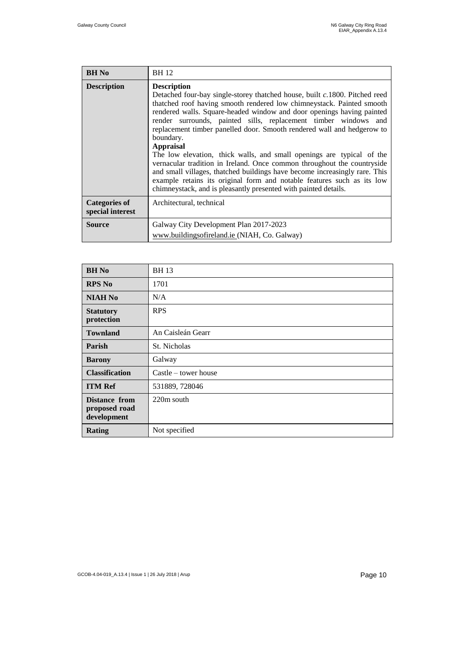| <b>BH</b> No                             | <b>BH</b> 12                                                                                                                                                                                                                                                                                                                                                                                                                                                                                                                                                                                                                                                                                                                                                                                                    |
|------------------------------------------|-----------------------------------------------------------------------------------------------------------------------------------------------------------------------------------------------------------------------------------------------------------------------------------------------------------------------------------------------------------------------------------------------------------------------------------------------------------------------------------------------------------------------------------------------------------------------------------------------------------------------------------------------------------------------------------------------------------------------------------------------------------------------------------------------------------------|
| <b>Description</b>                       | <b>Description</b><br>Detached four-bay single-storey thatched house, built c.1800. Pitched reed<br>thatched roof having smooth rendered low chimneystack. Painted smooth<br>rendered walls. Square-headed window and door openings having painted<br>render surrounds, painted sills, replacement timber windows and<br>replacement timber panelled door. Smooth rendered wall and hedgerow to<br>boundary.<br><b>Appraisal</b><br>The low elevation, thick walls, and small openings are typical of the<br>vernacular tradition in Ireland. Once common throughout the countryside<br>and small villages, thatched buildings have become increasingly rare. This<br>example retains its original form and notable features such as its low<br>chimneystack, and is pleasantly presented with painted details. |
| <b>Categories of</b><br>special interest | Architectural, technical                                                                                                                                                                                                                                                                                                                                                                                                                                                                                                                                                                                                                                                                                                                                                                                        |
| <b>Source</b>                            | Galway City Development Plan 2017-2023<br>www.buildingsofireland.ie (NIAH, Co. Galway)                                                                                                                                                                                                                                                                                                                                                                                                                                                                                                                                                                                                                                                                                                                          |
|                                          |                                                                                                                                                                                                                                                                                                                                                                                                                                                                                                                                                                                                                                                                                                                                                                                                                 |

| <b>BH</b> No                                  | <b>BH13</b>            |
|-----------------------------------------------|------------------------|
| <b>RPS No</b>                                 | 1701                   |
| <b>NIAH No</b>                                | N/A                    |
| <b>Statutory</b><br>protection                | <b>RPS</b>             |
| <b>Townland</b>                               | An Caisleán Gearr      |
| Parish                                        | St. Nicholas           |
| <b>Barony</b>                                 | Galway                 |
| <b>Classification</b>                         | $Castle - tower house$ |
| <b>ITM Ref</b>                                | 531889, 728046         |
| Distance from<br>proposed road<br>development | 220m south             |
| <b>Rating</b>                                 | Not specified          |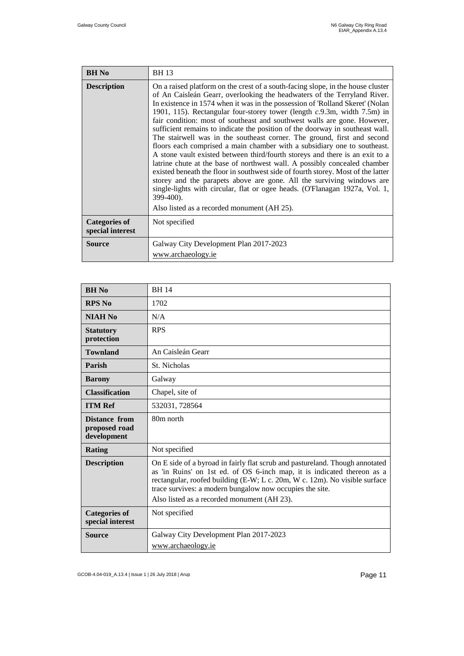| <b>BH</b> No                             | <b>BH13</b>                                                                                                                                                                                                                                                                                                                                                                                                                                                                                                                                                                                                                                                                                                                                                                                                                                                                                                                                                                                                                                                                                                             |
|------------------------------------------|-------------------------------------------------------------------------------------------------------------------------------------------------------------------------------------------------------------------------------------------------------------------------------------------------------------------------------------------------------------------------------------------------------------------------------------------------------------------------------------------------------------------------------------------------------------------------------------------------------------------------------------------------------------------------------------------------------------------------------------------------------------------------------------------------------------------------------------------------------------------------------------------------------------------------------------------------------------------------------------------------------------------------------------------------------------------------------------------------------------------------|
| <b>Description</b>                       | On a raised platform on the crest of a south-facing slope, in the house cluster<br>of An Caisleán Gearr, overlooking the headwaters of the Terryland River.<br>In existence in 1574 when it was in the possession of 'Rolland Skeret' (Nolan<br>1901, 115). Rectangular four-storey tower (length $c.9.3m$ , width $7.5m$ ) in<br>fair condition: most of southeast and southwest walls are gone. However,<br>sufficient remains to indicate the position of the doorway in southeast wall.<br>The stairwell was in the southeast corner. The ground, first and second<br>floors each comprised a main chamber with a subsidiary one to southeast.<br>A stone vault existed between third/fourth storeys and there is an exit to a<br>latrine chute at the base of northwest wall. A possibly concealed chamber<br>existed beneath the floor in southwest side of fourth storey. Most of the latter<br>storey and the parapets above are gone. All the surviving windows are<br>single-lights with circular, flat or ogee heads. (O'Flanagan 1927a, Vol. 1,<br>399-400).<br>Also listed as a recorded monument (AH 25). |
| <b>Categories of</b><br>special interest | Not specified                                                                                                                                                                                                                                                                                                                                                                                                                                                                                                                                                                                                                                                                                                                                                                                                                                                                                                                                                                                                                                                                                                           |
| <b>Source</b>                            | Galway City Development Plan 2017-2023<br>www.archaeology.ie                                                                                                                                                                                                                                                                                                                                                                                                                                                                                                                                                                                                                                                                                                                                                                                                                                                                                                                                                                                                                                                            |

| <b>BH</b> No                                         | <b>BH14</b>                                                                                                                                                                                                                                                                                                                                      |
|------------------------------------------------------|--------------------------------------------------------------------------------------------------------------------------------------------------------------------------------------------------------------------------------------------------------------------------------------------------------------------------------------------------|
| <b>RPS No</b>                                        | 1702                                                                                                                                                                                                                                                                                                                                             |
| <b>NIAH No</b>                                       | N/A                                                                                                                                                                                                                                                                                                                                              |
| <b>Statutory</b><br>protection                       | <b>RPS</b>                                                                                                                                                                                                                                                                                                                                       |
| <b>Townland</b>                                      | An Caisleán Gearr                                                                                                                                                                                                                                                                                                                                |
| Parish                                               | St. Nicholas                                                                                                                                                                                                                                                                                                                                     |
| <b>Barony</b>                                        | Galway                                                                                                                                                                                                                                                                                                                                           |
| <b>Classification</b>                                | Chapel, site of                                                                                                                                                                                                                                                                                                                                  |
| <b>ITM Ref</b>                                       | 532031, 728564                                                                                                                                                                                                                                                                                                                                   |
| <b>Distance from</b><br>proposed road<br>development | 80m north                                                                                                                                                                                                                                                                                                                                        |
| Rating                                               | Not specified                                                                                                                                                                                                                                                                                                                                    |
| <b>Description</b>                                   | On E side of a byroad in fairly flat scrub and pastureland. Though annotated<br>as 'in Ruins' on 1st ed. of OS 6-inch map, it is indicated thereon as a<br>rectangular, roofed building (E-W; L c. 20m, W c. 12m). No visible surface<br>trace survives: a modern bungalow now occupies the site.<br>Also listed as a recorded monument (AH 23). |
| <b>Categories of</b><br>special interest             | Not specified                                                                                                                                                                                                                                                                                                                                    |
| Source                                               | Galway City Development Plan 2017-2023<br>www.archaeology.ie                                                                                                                                                                                                                                                                                     |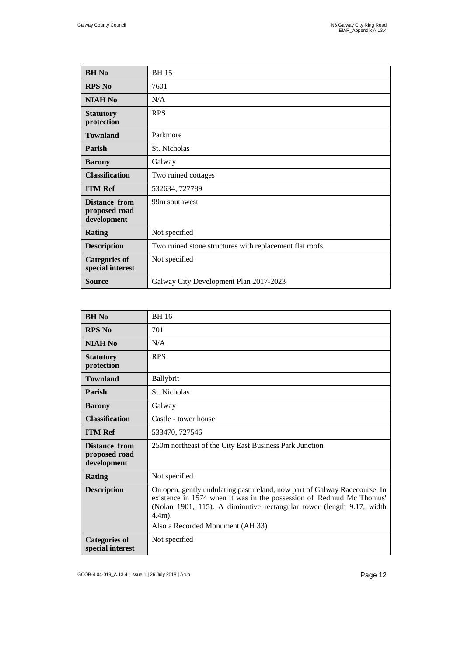| <b>BH</b> No                                  | <b>BH15</b>                                              |
|-----------------------------------------------|----------------------------------------------------------|
| <b>RPS No</b>                                 | 7601                                                     |
| <b>NIAH No</b>                                | N/A                                                      |
| <b>Statutory</b><br>protection                | <b>RPS</b>                                               |
| <b>Townland</b>                               | Parkmore                                                 |
| Parish                                        | St. Nicholas                                             |
| <b>Barony</b>                                 | Galway                                                   |
| <b>Classification</b>                         | Two ruined cottages                                      |
| <b>ITM Ref</b>                                | 532634, 727789                                           |
| Distance from<br>proposed road<br>development | 99m southwest                                            |
| <b>Rating</b>                                 | Not specified                                            |
| <b>Description</b>                            | Two ruined stone structures with replacement flat roofs. |
| <b>Categories of</b><br>special interest      | Not specified                                            |
| <b>Source</b>                                 | Galway City Development Plan 2017-2023                   |

| <b>BH No</b>                                  | <b>BH16</b>                                                                                                                                                                                                                                                                  |
|-----------------------------------------------|------------------------------------------------------------------------------------------------------------------------------------------------------------------------------------------------------------------------------------------------------------------------------|
| <b>RPS No</b>                                 | 701                                                                                                                                                                                                                                                                          |
| <b>NIAH No</b>                                | N/A                                                                                                                                                                                                                                                                          |
| <b>Statutory</b><br>protection                | <b>RPS</b>                                                                                                                                                                                                                                                                   |
| <b>Townland</b>                               | Ballybrit                                                                                                                                                                                                                                                                    |
| Parish                                        | St. Nicholas                                                                                                                                                                                                                                                                 |
| <b>Barony</b>                                 | Galway                                                                                                                                                                                                                                                                       |
| <b>Classification</b>                         | Castle - tower house                                                                                                                                                                                                                                                         |
| <b>ITM Ref</b>                                | 533470, 727546                                                                                                                                                                                                                                                               |
| Distance from<br>proposed road<br>development | 250m northeast of the City East Business Park Junction                                                                                                                                                                                                                       |
| <b>Rating</b>                                 | Not specified                                                                                                                                                                                                                                                                |
| <b>Description</b>                            | On open, gently undulating pastureland, now part of Galway Racecourse. In<br>existence in 1574 when it was in the possession of 'Redmud Mc Thomus'<br>(Nolan 1901, 115). A diminutive rectangular tower (length 9.17, width<br>$4.4m$ ).<br>Also a Recorded Monument (AH 33) |
| <b>Categories of</b><br>special interest      | Not specified                                                                                                                                                                                                                                                                |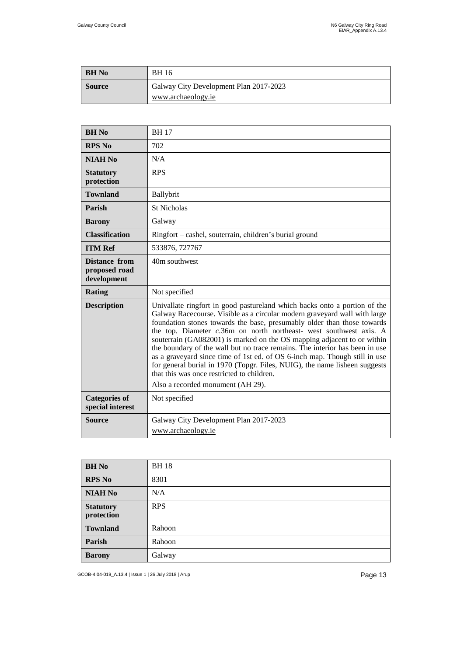| <b>BH</b> No  | BH 16                                                        |
|---------------|--------------------------------------------------------------|
| <b>Source</b> | Galway City Development Plan 2017-2023<br>www.archaeology.ie |

| <b>BH</b> No                                  | <b>BH17</b>                                                                                                                                                                                                                                                                                                                                                                                                                                                                                                                                                                                                                                                                                                      |
|-----------------------------------------------|------------------------------------------------------------------------------------------------------------------------------------------------------------------------------------------------------------------------------------------------------------------------------------------------------------------------------------------------------------------------------------------------------------------------------------------------------------------------------------------------------------------------------------------------------------------------------------------------------------------------------------------------------------------------------------------------------------------|
| <b>RPS No</b>                                 | 702                                                                                                                                                                                                                                                                                                                                                                                                                                                                                                                                                                                                                                                                                                              |
| <b>NIAH No</b>                                | N/A                                                                                                                                                                                                                                                                                                                                                                                                                                                                                                                                                                                                                                                                                                              |
| <b>Statutory</b><br>protection                | <b>RPS</b>                                                                                                                                                                                                                                                                                                                                                                                                                                                                                                                                                                                                                                                                                                       |
| <b>Townland</b>                               | Ballybrit                                                                                                                                                                                                                                                                                                                                                                                                                                                                                                                                                                                                                                                                                                        |
| Parish                                        | <b>St Nicholas</b>                                                                                                                                                                                                                                                                                                                                                                                                                                                                                                                                                                                                                                                                                               |
| <b>Barony</b>                                 | Galway                                                                                                                                                                                                                                                                                                                                                                                                                                                                                                                                                                                                                                                                                                           |
| <b>Classification</b>                         | Ringfort – cashel, souterrain, children's burial ground                                                                                                                                                                                                                                                                                                                                                                                                                                                                                                                                                                                                                                                          |
| <b>ITM Ref</b>                                | 533876, 727767                                                                                                                                                                                                                                                                                                                                                                                                                                                                                                                                                                                                                                                                                                   |
| Distance from<br>proposed road<br>development | 40m southwest                                                                                                                                                                                                                                                                                                                                                                                                                                                                                                                                                                                                                                                                                                    |
| <b>Rating</b>                                 | Not specified                                                                                                                                                                                                                                                                                                                                                                                                                                                                                                                                                                                                                                                                                                    |
| <b>Description</b>                            | Univallate ringfort in good pastureland which backs onto a portion of the<br>Galway Racecourse. Visible as a circular modern graveyard wall with large<br>foundation stones towards the base, presumably older than those towards<br>the top. Diameter c.36m on north northeast- west southwest axis. A<br>souterrain (GA082001) is marked on the OS mapping adjacent to or within<br>the boundary of the wall but no trace remains. The interior has been in use<br>as a graveyard since time of 1st ed. of OS 6-inch map. Though still in use<br>for general burial in 1970 (Topgr. Files, NUIG), the name lisheen suggests<br>that this was once restricted to children.<br>Also a recorded monument (AH 29). |
| <b>Categories of</b><br>special interest      | Not specified                                                                                                                                                                                                                                                                                                                                                                                                                                                                                                                                                                                                                                                                                                    |
| <b>Source</b>                                 | Galway City Development Plan 2017-2023<br>www.archaeology.ie                                                                                                                                                                                                                                                                                                                                                                                                                                                                                                                                                                                                                                                     |

| <b>BH</b> No                   | <b>BH18</b> |
|--------------------------------|-------------|
| <b>RPS No</b>                  | 8301        |
| <b>NIAH No</b>                 | N/A         |
| <b>Statutory</b><br>protection | <b>RPS</b>  |
| <b>Townland</b>                | Rahoon      |
| Parish                         | Rahoon      |
| <b>Barony</b>                  | Galway      |

GCOB-4.04-019\_A.13.4 | Issue 1 | 26 July 2018 | Arup Page 13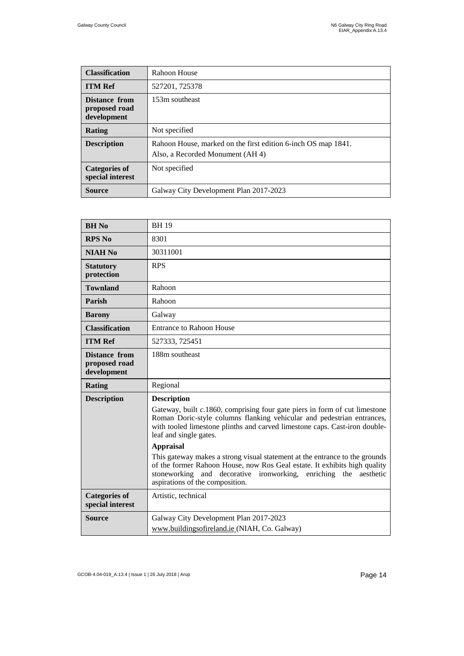| <b>Classification</b>                         | Rahoon House                                                                                      |
|-----------------------------------------------|---------------------------------------------------------------------------------------------------|
| <b>ITM Ref</b>                                | 527201, 725378                                                                                    |
| Distance from<br>proposed road<br>development | 153m southeast                                                                                    |
| <b>Rating</b>                                 | Not specified                                                                                     |
| <b>Description</b>                            | Rahoon House, marked on the first edition 6-inch OS map 1841.<br>Also, a Recorded Monument (AH 4) |
| <b>Categories of</b><br>special interest      | Not specified                                                                                     |
| Source                                        | Galway City Development Plan 2017-2023                                                            |

| <b>BH</b> No                                  | <b>BH19</b>                                                                                                                                                                                                                                                                                                                                                                                                                                                                                                                                                                  |
|-----------------------------------------------|------------------------------------------------------------------------------------------------------------------------------------------------------------------------------------------------------------------------------------------------------------------------------------------------------------------------------------------------------------------------------------------------------------------------------------------------------------------------------------------------------------------------------------------------------------------------------|
| <b>RPS No</b>                                 | 8301                                                                                                                                                                                                                                                                                                                                                                                                                                                                                                                                                                         |
| <b>NIAH No</b>                                | 30311001                                                                                                                                                                                                                                                                                                                                                                                                                                                                                                                                                                     |
| <b>Statutory</b><br>protection                | <b>RPS</b>                                                                                                                                                                                                                                                                                                                                                                                                                                                                                                                                                                   |
| <b>Townland</b>                               | Rahoon                                                                                                                                                                                                                                                                                                                                                                                                                                                                                                                                                                       |
| Parish                                        | Rahoon                                                                                                                                                                                                                                                                                                                                                                                                                                                                                                                                                                       |
| <b>Barony</b>                                 | Galway                                                                                                                                                                                                                                                                                                                                                                                                                                                                                                                                                                       |
| <b>Classification</b>                         | <b>Entrance to Rahoon House</b>                                                                                                                                                                                                                                                                                                                                                                                                                                                                                                                                              |
| <b>ITM Ref</b>                                | 527333, 725451                                                                                                                                                                                                                                                                                                                                                                                                                                                                                                                                                               |
| Distance from<br>proposed road<br>development | 188m southeast                                                                                                                                                                                                                                                                                                                                                                                                                                                                                                                                                               |
| Rating                                        | Regional                                                                                                                                                                                                                                                                                                                                                                                                                                                                                                                                                                     |
| <b>Description</b>                            | <b>Description</b><br>Gateway, built c.1860, comprising four gate piers in form of cut limestone<br>Roman Doric-style columns flanking vehicular and pedestrian entrances,<br>with tooled limestone plinths and carved limestone caps. Cast-iron double-<br>leaf and single gates.<br><b>Appraisal</b><br>This gateway makes a strong visual statement at the entrance to the grounds<br>of the former Rahoon House, now Ros Geal estate. It exhibits high quality<br>stoneworking and decorative ironworking, enriching the<br>aesthetic<br>aspirations of the composition. |
| <b>Categories of</b><br>special interest      | Artistic, technical                                                                                                                                                                                                                                                                                                                                                                                                                                                                                                                                                          |
| <b>Source</b>                                 | Galway City Development Plan 2017-2023<br>www.buildingsofireland.ie (NIAH, Co. Galway)                                                                                                                                                                                                                                                                                                                                                                                                                                                                                       |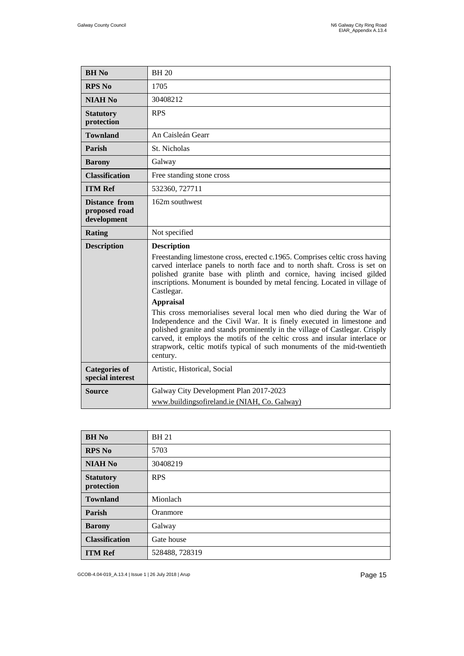| <b>BH</b> No                                         | <b>BH20</b>                                                                                                                                                                                                                                                                                                                                                                                                                                                                                                                                                                                                                                                                           |
|------------------------------------------------------|---------------------------------------------------------------------------------------------------------------------------------------------------------------------------------------------------------------------------------------------------------------------------------------------------------------------------------------------------------------------------------------------------------------------------------------------------------------------------------------------------------------------------------------------------------------------------------------------------------------------------------------------------------------------------------------|
| <b>RPS No</b>                                        | 1705                                                                                                                                                                                                                                                                                                                                                                                                                                                                                                                                                                                                                                                                                  |
| <b>NIAH No</b>                                       | 30408212                                                                                                                                                                                                                                                                                                                                                                                                                                                                                                                                                                                                                                                                              |
| <b>Statutory</b><br>protection                       | <b>RPS</b>                                                                                                                                                                                                                                                                                                                                                                                                                                                                                                                                                                                                                                                                            |
| <b>Townland</b>                                      | An Caisleán Gearr                                                                                                                                                                                                                                                                                                                                                                                                                                                                                                                                                                                                                                                                     |
| Parish                                               | St. Nicholas                                                                                                                                                                                                                                                                                                                                                                                                                                                                                                                                                                                                                                                                          |
| <b>Barony</b>                                        | Galway                                                                                                                                                                                                                                                                                                                                                                                                                                                                                                                                                                                                                                                                                |
| <b>Classification</b>                                | Free standing stone cross                                                                                                                                                                                                                                                                                                                                                                                                                                                                                                                                                                                                                                                             |
| <b>ITM Ref</b>                                       | 532360, 727711                                                                                                                                                                                                                                                                                                                                                                                                                                                                                                                                                                                                                                                                        |
| <b>Distance from</b><br>proposed road<br>development | 162m southwest                                                                                                                                                                                                                                                                                                                                                                                                                                                                                                                                                                                                                                                                        |
| <b>Rating</b>                                        | Not specified                                                                                                                                                                                                                                                                                                                                                                                                                                                                                                                                                                                                                                                                         |
| <b>Description</b>                                   | <b>Description</b><br>Freestanding limestone cross, erected c.1965. Comprises celtic cross having<br>carved interlace panels to north face and to north shaft. Cross is set on<br>polished granite base with plinth and cornice, having incised gilded<br>inscriptions. Monument is bounded by metal fencing. Located in village of<br>Castlegar.<br><b>Appraisal</b><br>This cross memorialises several local men who died during the War of<br>Independence and the Civil War. It is finely executed in limestone and<br>polished granite and stands prominently in the village of Castlegar. Crisply<br>carved, it employs the motifs of the celtic cross and insular interlace or |
|                                                      | strapwork, celtic motifs typical of such monuments of the mid-twentieth<br>century.                                                                                                                                                                                                                                                                                                                                                                                                                                                                                                                                                                                                   |
| <b>Categories of</b><br>special interest             | Artistic, Historical, Social                                                                                                                                                                                                                                                                                                                                                                                                                                                                                                                                                                                                                                                          |

| <b>BH</b> No                   | <b>BH21</b>    |
|--------------------------------|----------------|
| <b>RPS No</b>                  | 5703           |
| <b>NIAH No</b>                 | 30408219       |
| <b>Statutory</b><br>protection | <b>RPS</b>     |
| <b>Townland</b>                | Mionlach       |
| Parish                         | Oranmore       |
| <b>Barony</b>                  | Galway         |
| <b>Classification</b>          | Gate house     |
| <b>ITM Ref</b>                 | 528488, 728319 |

GCOB-4.04-019\_A.13.4 | Issue 1 | 26 July 2018 | Arup Page 15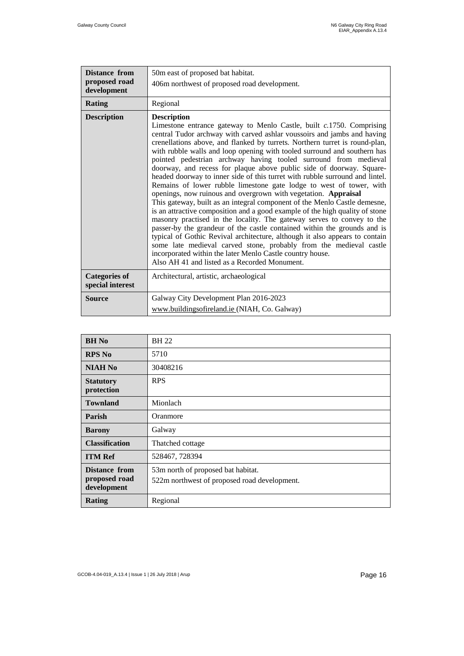| <b>Distance from</b>                     | 50m east of proposed bat habitat.                                                                                                                                                                                                                                                                                                                                                                                                                                                                                                                                                                                                                                                                                                                                                                                                                                                                                                                                                                                                                                                                                                                                                                                                                                                          |
|------------------------------------------|--------------------------------------------------------------------------------------------------------------------------------------------------------------------------------------------------------------------------------------------------------------------------------------------------------------------------------------------------------------------------------------------------------------------------------------------------------------------------------------------------------------------------------------------------------------------------------------------------------------------------------------------------------------------------------------------------------------------------------------------------------------------------------------------------------------------------------------------------------------------------------------------------------------------------------------------------------------------------------------------------------------------------------------------------------------------------------------------------------------------------------------------------------------------------------------------------------------------------------------------------------------------------------------------|
| proposed road<br>development             | 406m northwest of proposed road development.                                                                                                                                                                                                                                                                                                                                                                                                                                                                                                                                                                                                                                                                                                                                                                                                                                                                                                                                                                                                                                                                                                                                                                                                                                               |
|                                          |                                                                                                                                                                                                                                                                                                                                                                                                                                                                                                                                                                                                                                                                                                                                                                                                                                                                                                                                                                                                                                                                                                                                                                                                                                                                                            |
| <b>Rating</b>                            | Regional                                                                                                                                                                                                                                                                                                                                                                                                                                                                                                                                                                                                                                                                                                                                                                                                                                                                                                                                                                                                                                                                                                                                                                                                                                                                                   |
| <b>Description</b>                       | <b>Description</b><br>Limestone entrance gateway to Menlo Castle, built c.1750. Comprising<br>central Tudor archway with carved ashlar voussoirs and jambs and having<br>crenellations above, and flanked by turrets. Northern turret is round-plan,<br>with rubble walls and loop opening with tooled surround and southern has<br>pointed pedestrian archway having tooled surround from medieval<br>doorway, and recess for plaque above public side of doorway. Square-<br>headed doorway to inner side of this turret with rubble surround and lintel.<br>Remains of lower rubble limestone gate lodge to west of tower, with<br>openings, now ruinous and overgrown with vegetation. Appraisal<br>This gateway, built as an integral component of the Menlo Castle demesne,<br>is an attractive composition and a good example of the high quality of stone<br>masonry practised in the locality. The gateway serves to convey to the<br>passer-by the grandeur of the castle contained within the grounds and is<br>typical of Gothic Revival architecture, although it also appears to contain<br>some late medieval carved stone, probably from the medieval castle<br>incorporated within the later Menlo Castle country house.<br>Also AH 41 and listed as a Recorded Monument. |
| <b>Categories of</b><br>special interest | Architectural, artistic, archaeological                                                                                                                                                                                                                                                                                                                                                                                                                                                                                                                                                                                                                                                                                                                                                                                                                                                                                                                                                                                                                                                                                                                                                                                                                                                    |
| <b>Source</b>                            | Galway City Development Plan 2016-2023                                                                                                                                                                                                                                                                                                                                                                                                                                                                                                                                                                                                                                                                                                                                                                                                                                                                                                                                                                                                                                                                                                                                                                                                                                                     |
|                                          | www.buildingsofireland.ie (NIAH, Co. Galway)                                                                                                                                                                                                                                                                                                                                                                                                                                                                                                                                                                                                                                                                                                                                                                                                                                                                                                                                                                                                                                                                                                                                                                                                                                               |

| <b>BH</b> No                                         | <b>BH22</b>                                                                        |
|------------------------------------------------------|------------------------------------------------------------------------------------|
| <b>RPS No</b>                                        | 5710                                                                               |
| <b>NIAH No</b>                                       | 30408216                                                                           |
| <b>Statutory</b><br>protection                       | <b>RPS</b>                                                                         |
| <b>Townland</b>                                      | Mionlach                                                                           |
| Parish                                               | Oranmore                                                                           |
| <b>Barony</b>                                        | Galway                                                                             |
| <b>Classification</b>                                | Thatched cottage                                                                   |
| <b>ITM Ref</b>                                       | 528467, 728394                                                                     |
| <b>Distance from</b><br>proposed road<br>development | 53m north of proposed bat habitat.<br>522m northwest of proposed road development. |
| Rating                                               | Regional                                                                           |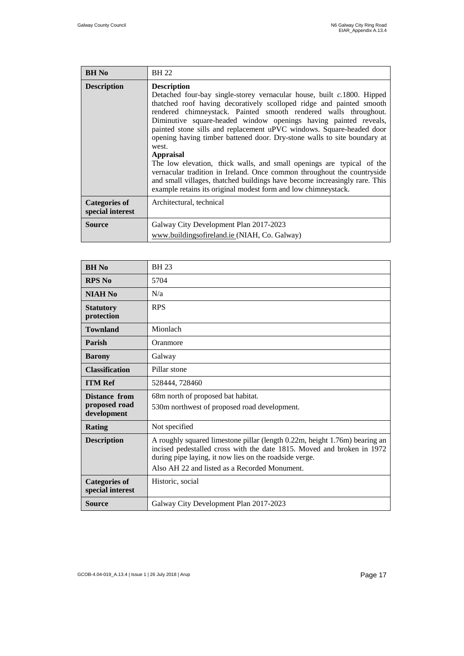| <b>BH</b> No                             | <b>BH 22</b>                                                                                                                                                                                                                                                                                                                                                                                                                                                                                                                                                                                                                                                                                                                                                                                      |
|------------------------------------------|---------------------------------------------------------------------------------------------------------------------------------------------------------------------------------------------------------------------------------------------------------------------------------------------------------------------------------------------------------------------------------------------------------------------------------------------------------------------------------------------------------------------------------------------------------------------------------------------------------------------------------------------------------------------------------------------------------------------------------------------------------------------------------------------------|
| <b>Description</b>                       | <b>Description</b><br>Detached four-bay single-storey vernacular house, built c.1800. Hipped<br>thatched roof having decoratively scolloped ridge and painted smooth<br>rendered chimneystack. Painted smooth rendered walls throughout.<br>Diminutive square-headed window openings having painted reveals,<br>painted stone sills and replacement uPVC windows. Square-headed door<br>opening having timber battened door. Dry-stone walls to site boundary at<br>west.<br><b>Appraisal</b><br>The low elevation, thick walls, and small openings are typical of the<br>vernacular tradition in Ireland. Once common throughout the countryside<br>and small villages, thatched buildings have become increasingly rare. This<br>example retains its original modest form and low chimneystack. |
| <b>Categories of</b><br>special interest | Architectural, technical                                                                                                                                                                                                                                                                                                                                                                                                                                                                                                                                                                                                                                                                                                                                                                          |
| Source                                   | Galway City Development Plan 2017-2023<br>www.buildingsofireland.ie (NIAH, Co. Galway)                                                                                                                                                                                                                                                                                                                                                                                                                                                                                                                                                                                                                                                                                                            |

| <b>BH</b> No                                  | <b>BH23</b>                                                                                                                                                                                                                                                     |
|-----------------------------------------------|-----------------------------------------------------------------------------------------------------------------------------------------------------------------------------------------------------------------------------------------------------------------|
| <b>RPS No</b>                                 | 5704                                                                                                                                                                                                                                                            |
| <b>NIAH No</b>                                | N/a                                                                                                                                                                                                                                                             |
| <b>Statutory</b><br>protection                | <b>RPS</b>                                                                                                                                                                                                                                                      |
| <b>Townland</b>                               | Mionlach                                                                                                                                                                                                                                                        |
| Parish                                        | Oranmore                                                                                                                                                                                                                                                        |
| <b>Barony</b>                                 | Galway                                                                                                                                                                                                                                                          |
| <b>Classification</b>                         | Pillar stone                                                                                                                                                                                                                                                    |
| <b>ITM Ref</b>                                | 528444, 728460                                                                                                                                                                                                                                                  |
| Distance from<br>proposed road<br>development | 68m north of proposed bat habitat.<br>530m northwest of proposed road development.                                                                                                                                                                              |
| Rating                                        | Not specified                                                                                                                                                                                                                                                   |
| <b>Description</b>                            | A roughly squared limestone pillar (length 0.22m, height 1.76m) bearing an<br>incised pedestalled cross with the date 1815. Moved and broken in 1972<br>during pipe laying, it now lies on the roadside verge.<br>Also AH 22 and listed as a Recorded Monument. |
| <b>Categories of</b><br>special interest      | Historic, social                                                                                                                                                                                                                                                |
| Source                                        | Galway City Development Plan 2017-2023                                                                                                                                                                                                                          |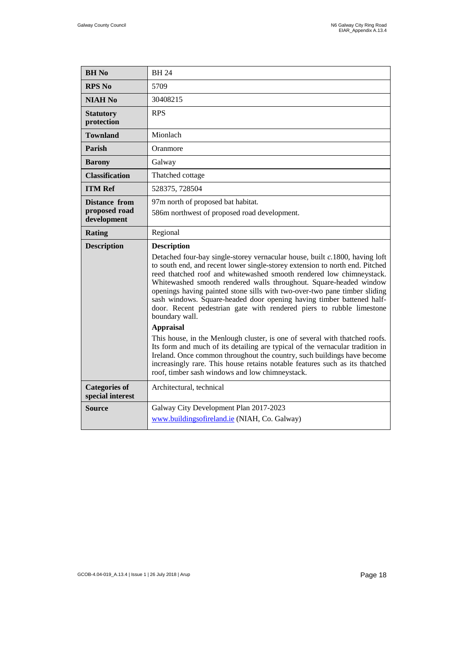| <b>BH</b> No                                         | <b>BH24</b>                                                                                                                                                                                                                                                                                                                                                                                                                                                                                                                                                                                                                                                                                                                                                                                                                                                                                                                                                                      |
|------------------------------------------------------|----------------------------------------------------------------------------------------------------------------------------------------------------------------------------------------------------------------------------------------------------------------------------------------------------------------------------------------------------------------------------------------------------------------------------------------------------------------------------------------------------------------------------------------------------------------------------------------------------------------------------------------------------------------------------------------------------------------------------------------------------------------------------------------------------------------------------------------------------------------------------------------------------------------------------------------------------------------------------------|
| <b>RPS No</b>                                        | 5709                                                                                                                                                                                                                                                                                                                                                                                                                                                                                                                                                                                                                                                                                                                                                                                                                                                                                                                                                                             |
| <b>NIAH No</b>                                       | 30408215                                                                                                                                                                                                                                                                                                                                                                                                                                                                                                                                                                                                                                                                                                                                                                                                                                                                                                                                                                         |
| <b>Statutory</b><br>protection                       | <b>RPS</b>                                                                                                                                                                                                                                                                                                                                                                                                                                                                                                                                                                                                                                                                                                                                                                                                                                                                                                                                                                       |
| <b>Townland</b>                                      | Mionlach                                                                                                                                                                                                                                                                                                                                                                                                                                                                                                                                                                                                                                                                                                                                                                                                                                                                                                                                                                         |
| Parish                                               | Oranmore                                                                                                                                                                                                                                                                                                                                                                                                                                                                                                                                                                                                                                                                                                                                                                                                                                                                                                                                                                         |
| <b>Barony</b>                                        | Galway                                                                                                                                                                                                                                                                                                                                                                                                                                                                                                                                                                                                                                                                                                                                                                                                                                                                                                                                                                           |
| <b>Classification</b>                                | Thatched cottage                                                                                                                                                                                                                                                                                                                                                                                                                                                                                                                                                                                                                                                                                                                                                                                                                                                                                                                                                                 |
| <b>ITM Ref</b>                                       | 528375, 728504                                                                                                                                                                                                                                                                                                                                                                                                                                                                                                                                                                                                                                                                                                                                                                                                                                                                                                                                                                   |
| <b>Distance from</b><br>proposed road<br>development | 97m north of proposed bat habitat.<br>586m northwest of proposed road development.                                                                                                                                                                                                                                                                                                                                                                                                                                                                                                                                                                                                                                                                                                                                                                                                                                                                                               |
| <b>Rating</b>                                        | Regional                                                                                                                                                                                                                                                                                                                                                                                                                                                                                                                                                                                                                                                                                                                                                                                                                                                                                                                                                                         |
| <b>Description</b>                                   | <b>Description</b><br>Detached four-bay single-storey vernacular house, built c.1800, having loft<br>to south end, and recent lower single-storey extension to north end. Pitched<br>reed thatched roof and whitewashed smooth rendered low chimneystack.<br>Whitewashed smooth rendered walls throughout. Square-headed window<br>openings having painted stone sills with two-over-two pane timber sliding<br>sash windows. Square-headed door opening having timber battened half-<br>door. Recent pedestrian gate with rendered piers to rubble limestone<br>boundary wall.<br><b>Appraisal</b><br>This house, in the Menlough cluster, is one of several with thatched roofs.<br>Its form and much of its detailing are typical of the vernacular tradition in<br>Ireland. Once common throughout the country, such buildings have become<br>increasingly rare. This house retains notable features such as its thatched<br>roof, timber sash windows and low chimneystack. |
| <b>Categories of</b><br>special interest             | Architectural, technical                                                                                                                                                                                                                                                                                                                                                                                                                                                                                                                                                                                                                                                                                                                                                                                                                                                                                                                                                         |
| Source                                               | Galway City Development Plan 2017-2023<br>www.buildingsofireland.ie (NIAH, Co. Galway)                                                                                                                                                                                                                                                                                                                                                                                                                                                                                                                                                                                                                                                                                                                                                                                                                                                                                           |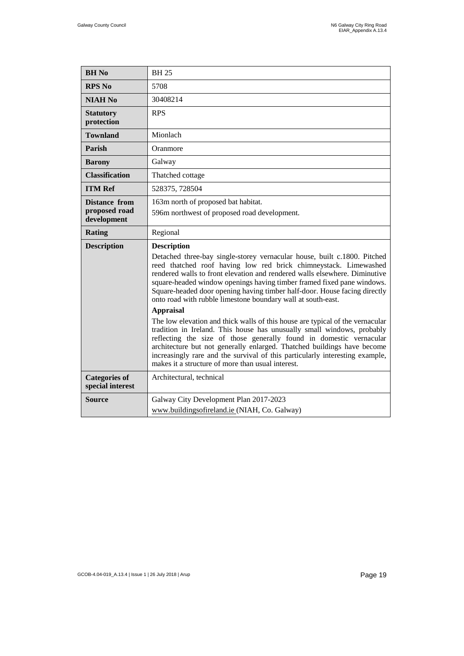| <b>BH</b> No                                         | <b>BH25</b>                                                                                                                                                                                                                                                                                                                                                                                                                                                                                                                                                                                                                                                                                                                                                                                                                                                                                                                                   |
|------------------------------------------------------|-----------------------------------------------------------------------------------------------------------------------------------------------------------------------------------------------------------------------------------------------------------------------------------------------------------------------------------------------------------------------------------------------------------------------------------------------------------------------------------------------------------------------------------------------------------------------------------------------------------------------------------------------------------------------------------------------------------------------------------------------------------------------------------------------------------------------------------------------------------------------------------------------------------------------------------------------|
| <b>RPS No</b>                                        | 5708                                                                                                                                                                                                                                                                                                                                                                                                                                                                                                                                                                                                                                                                                                                                                                                                                                                                                                                                          |
| <b>NIAH No</b>                                       | 30408214                                                                                                                                                                                                                                                                                                                                                                                                                                                                                                                                                                                                                                                                                                                                                                                                                                                                                                                                      |
| <b>Statutory</b><br>protection                       | <b>RPS</b>                                                                                                                                                                                                                                                                                                                                                                                                                                                                                                                                                                                                                                                                                                                                                                                                                                                                                                                                    |
| <b>Townland</b>                                      | Mionlach                                                                                                                                                                                                                                                                                                                                                                                                                                                                                                                                                                                                                                                                                                                                                                                                                                                                                                                                      |
| Parish                                               | Oranmore                                                                                                                                                                                                                                                                                                                                                                                                                                                                                                                                                                                                                                                                                                                                                                                                                                                                                                                                      |
| <b>Barony</b>                                        | Galway                                                                                                                                                                                                                                                                                                                                                                                                                                                                                                                                                                                                                                                                                                                                                                                                                                                                                                                                        |
| <b>Classification</b>                                | Thatched cottage                                                                                                                                                                                                                                                                                                                                                                                                                                                                                                                                                                                                                                                                                                                                                                                                                                                                                                                              |
| <b>ITM Ref</b>                                       | 528375, 728504                                                                                                                                                                                                                                                                                                                                                                                                                                                                                                                                                                                                                                                                                                                                                                                                                                                                                                                                |
| <b>Distance from</b><br>proposed road<br>development | 163m north of proposed bat habitat.<br>596m northwest of proposed road development.                                                                                                                                                                                                                                                                                                                                                                                                                                                                                                                                                                                                                                                                                                                                                                                                                                                           |
| Rating                                               | Regional                                                                                                                                                                                                                                                                                                                                                                                                                                                                                                                                                                                                                                                                                                                                                                                                                                                                                                                                      |
|                                                      |                                                                                                                                                                                                                                                                                                                                                                                                                                                                                                                                                                                                                                                                                                                                                                                                                                                                                                                                               |
| <b>Description</b>                                   | <b>Description</b><br>Detached three-bay single-storey vernacular house, built c.1800. Pitched<br>reed thatched roof having low red brick chimneystack. Limewashed<br>rendered walls to front elevation and rendered walls elsewhere. Diminutive<br>square-headed window openings having timber framed fixed pane windows.<br>Square-headed door opening having timber half-door. House facing directly<br>onto road with rubble limestone boundary wall at south-east.<br><b>Appraisal</b><br>The low elevation and thick walls of this house are typical of the vernacular<br>tradition in Ireland. This house has unusually small windows, probably<br>reflecting the size of those generally found in domestic vernacular<br>architecture but not generally enlarged. Thatched buildings have become<br>increasingly rare and the survival of this particularly interesting example,<br>makes it a structure of more than usual interest. |
| <b>Categories of</b><br>special interest             | Architectural, technical                                                                                                                                                                                                                                                                                                                                                                                                                                                                                                                                                                                                                                                                                                                                                                                                                                                                                                                      |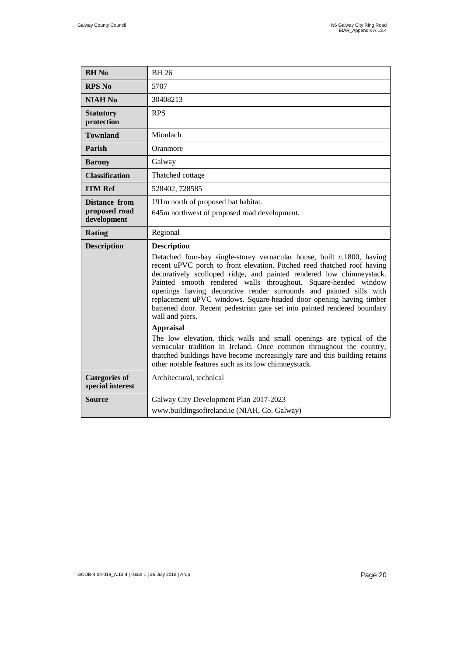| <b>BH</b> No                                  | <b>BH 26</b>                                                                                                                                                                                                                                                                                                                                                                                                                                                                                                                                                                                                                                                                                                                                                                                                                                                              |
|-----------------------------------------------|---------------------------------------------------------------------------------------------------------------------------------------------------------------------------------------------------------------------------------------------------------------------------------------------------------------------------------------------------------------------------------------------------------------------------------------------------------------------------------------------------------------------------------------------------------------------------------------------------------------------------------------------------------------------------------------------------------------------------------------------------------------------------------------------------------------------------------------------------------------------------|
| <b>RPS No</b>                                 | 5707                                                                                                                                                                                                                                                                                                                                                                                                                                                                                                                                                                                                                                                                                                                                                                                                                                                                      |
| <b>NIAH No</b>                                | 30408213                                                                                                                                                                                                                                                                                                                                                                                                                                                                                                                                                                                                                                                                                                                                                                                                                                                                  |
| <b>Statutory</b><br>protection                | <b>RPS</b>                                                                                                                                                                                                                                                                                                                                                                                                                                                                                                                                                                                                                                                                                                                                                                                                                                                                |
| <b>Townland</b>                               | Mionlach                                                                                                                                                                                                                                                                                                                                                                                                                                                                                                                                                                                                                                                                                                                                                                                                                                                                  |
| Parish                                        | Oranmore                                                                                                                                                                                                                                                                                                                                                                                                                                                                                                                                                                                                                                                                                                                                                                                                                                                                  |
| <b>Barony</b>                                 | Galway                                                                                                                                                                                                                                                                                                                                                                                                                                                                                                                                                                                                                                                                                                                                                                                                                                                                    |
| <b>Classification</b>                         | Thatched cottage                                                                                                                                                                                                                                                                                                                                                                                                                                                                                                                                                                                                                                                                                                                                                                                                                                                          |
| <b>ITM Ref</b>                                | 528402, 728585                                                                                                                                                                                                                                                                                                                                                                                                                                                                                                                                                                                                                                                                                                                                                                                                                                                            |
| Distance from<br>proposed road<br>development | 191m north of proposed bat habitat.<br>645m northwest of proposed road development.                                                                                                                                                                                                                                                                                                                                                                                                                                                                                                                                                                                                                                                                                                                                                                                       |
| Rating                                        | Regional                                                                                                                                                                                                                                                                                                                                                                                                                                                                                                                                                                                                                                                                                                                                                                                                                                                                  |
|                                               |                                                                                                                                                                                                                                                                                                                                                                                                                                                                                                                                                                                                                                                                                                                                                                                                                                                                           |
| <b>Description</b>                            | <b>Description</b><br>Detached four-bay single-storey vernacular house, built $c.1800$ , having<br>recent uPVC porch to front elevation. Pitched reed thatched roof having<br>decoratively scolloped ridge, and painted rendered low chimneystack.<br>Painted smooth rendered walls throughout. Square-headed window<br>openings having decorative render surrounds and painted sills with<br>replacement uPVC windows. Square-headed door opening having timber<br>battened door. Recent pedestrian gate set into painted rendered boundary<br>wall and piers.<br><b>Appraisal</b><br>The low elevation, thick walls and small openings are typical of the<br>vernacular tradition in Ireland. Once common throughout the country,<br>thatched buildings have become increasingly rare and this building retains<br>other notable features such as its low chimneystack. |
| <b>Categories of</b><br>special interest      | Architectural, technical                                                                                                                                                                                                                                                                                                                                                                                                                                                                                                                                                                                                                                                                                                                                                                                                                                                  |